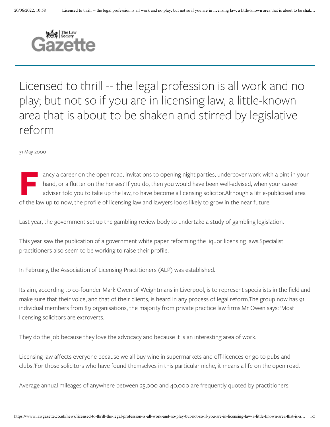

Licensed to thrill -- the legal profession is all work and no play; but not so if you are in licensing law, a little-known area that is about to be shaken and stirred by legislative reform

31 May 2000

F**F** ancy a career on the open road, invitations to opening night parties, undercover work with and, or a flutter on the horses? If you do, then you would have been well-advised, when y adviser told you to take up the law, ancy a career on the open road, invitations to opening night parties, undercover work with a pint in your hand, or a flutter on the horses? If you do, then you would have been well-advised, when your career adviser told you to take up the law, to have become a licensing solicitor.Although a little-publicised area

Last year, the government set up the gambling review body to undertake a study of gambling legislation.

This year saw the publication of a government white paper reforming the liquor licensing laws.Specialist practitioners also seem to be working to raise their profile.

In February, the Association of Licensing Practitioners (ALP) was established.

Its aim, according to co-founder Mark Owen of Weightmans in Liverpool, is to represent specialists in the field and make sure that their voice, and that of their clients, is heard in any process of legal reform.The group now has 91 individual members from 89 organisations, the majority from private practice law firms.Mr Owen says: 'Most licensing solicitors are extroverts.

They do the job because they love the advocacy and because it is an interesting area of work.

Licensing law affects everyone because we all buy wine in supermarkets and off-licences or go to pubs and clubs.'For those solicitors who have found themselves in this particular niche, it means a life on the open road.

Average annual mileages of anywhere between 25,000 and 40,000 are frequently quoted by practitioners.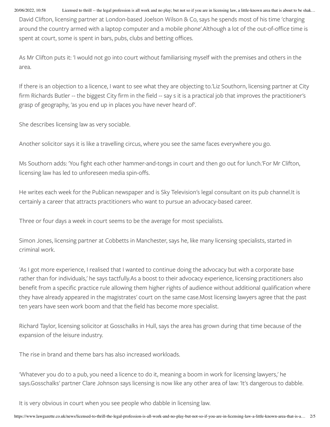20/06/2022, 10:58 Licensed to thrill -- the legal profession is all work and no play; but not so if you are in licensing law, a little-known area that is about to be shak...

David Clifton, licensing partner at London-based Joelson Wilson & Co, says he spends most of his time 'charging around the country armed with a laptop computer and a mobile phone'. Although a lot of the out-of-office time is spent at court, some is spent in bars, pubs, clubs and betting offices.

As Mr Clifton puts it: 'I would not go into court without familiarising myself with the premises and others in the area.

If there is an objection to a licence, I want to see what they are objecting to.'Liz Southorn, licensing partner at City firm Richards Butler -- the biggest City firm in the field -- say s it is a practical job that improves the practitioner's grasp of geography, 'as you end up in places you have never heard of'.

She describes licensing law as very sociable.

Another solicitor says it is like a travelling circus, where you see the same faces everywhere you go.

Ms Southorn adds: 'You fight each other hammer-and-tongs in court and then go out for lunch.'For Mr Clifton, licensing law has led to unforeseen media spin-offs.

He writes each week for the Publican newspaper and is Sky Television's legal consultant on its pub channel.It is certainly a career that attracts practitioners who want to pursue an advocacy-based career.

Three or four days a week in court seems to be the average for most specialists.

Simon Jones, licensing partner at Cobbetts in Manchester, says he, like many licensing specialists, started in criminal work.

'As I got more experience, I realised that I wanted to continue doing the advocacy but with a corporate base rather than for individuals,' he says tactfully.As a boost to their advocacy experience, licensing practitioners also benefit from a specific practice rule allowing them higher rights of audience without additional qualification where they have already appeared in the magistrates' court on the same case.Most licensing lawyers agree that the past ten years have seen work boom and that the field has become more specialist.

Richard Taylor, licensing solicitor at Gosschalks in Hull, says the area has grown during that time because of the expansion of the leisure industry.

The rise in brand and theme bars has also increased workloads.

'Whatever you do to a pub, you need a licence to do it, meaning a boom in work for licensing lawyers,' he says.Gosschalks' partner Clare Johnson says licensing is now like any other area of law: 'It's dangerous to dabble.

It is very obvious in court when you see people who dabble in licensing law.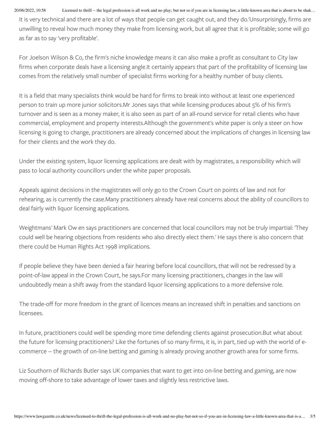20/06/2022, 10:58 Licensed to thrill -- the legal profession is all work and no play; but not so if you are in licensing law, a little-known area that is about to be shak...

It is very technical and there are a lot of ways that people can get caught out, and they do.'Unsurprisingly, firms are unwilling to reveal how much money they make from licensing work, but all agree that it is profitable; some will go as far as to say 'very profitable'.

For Joelson Wilson & Co, the firm's niche knowledge means it can also make a profit as consultant to City law firms when corporate deals have a licensing angle.It certainly appears that part of the profitability of licensing law comes from the relatively small number of specialist firms working for a healthy number of busy clients.

It is a field that many specialists think would be hard for firms to break into without at least one experienced person to train up more junior solicitors.Mr Jones says that while licensing produces about 5% of his firm's turnover and is seen as a money maker, it is also seen as part of an all-round service for retail clients who have commercial, employment and property interests.Although the government's white paper is only a steer on how licensing is going to change, practitioners are already concerned about the implications of changes in licensing law for their clients and the work they do.

Under the existing system, liquor licensing applications are dealt with by magistrates, a responsibility which will pass to local authority councillors under the white paper proposals.

Appeals against decisions in the magistrates will only go to the Crown Court on points of law and not for rehearing, as is currently the case.Many practitioners already have real concerns about the ability of councillors to deal fairly with liquor licensing applications.

Weightmans' Mark Ow en says practitioners are concerned that local councillors may not be truly impartial: 'They could well be hearing objections from residents who also directly elect them.' He says there is also concern that there could be Human Rights Act 1998 implications.

If people believe they have been denied a fair hearing before local councillors, that will not be redressed by a point-of-law appeal in the Crown Court, he says.For many licensing practitioners, changes in the law will undoubtedly mean a shift away from the standard liquor licensing applications to a more defensive role.

The trade-off for more freedom in the grant of licences means an increased shift in penalties and sanctions on licensees.

In future, practitioners could well be spending more time defending clients against prosecution.But what about the future for licensing practitioners? Like the fortunes of so many firms, it is, in part, tied up with the world of ecommerce -- the growth of on-line betting and gaming is already proving another growth area for some firms.

Liz Southorn of Richards Butler says UK companies that want to get into on-line betting and gaming, are now moving off-shore to take advantage of lower taxes and slightly less restrictive laws.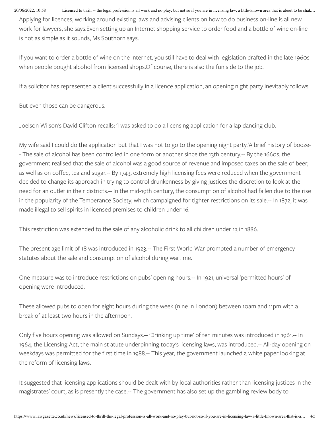20/06/2022, 10:58 Licensed to thrill -- the legal profession is all work and no play; but not so if you are in licensing law, a little-known area that is about to be shak...

Applying for licences, working around existing laws and advising clients on how to do business on-line is all new work for lawyers, she says.Even setting up an Internet shopping service to order food and a bottle of wine on-line is not as simple as it sounds, Ms Southorn says.

If you want to order a bottle of wine on the Internet, you still have to deal with legislation drafted in the late 1960s when people bought alcohol from licensed shops.Of course, there is also the fun side to the job.

If a solicitor has represented a client successfully in a licence application, an opening night party inevitably follows.

But even those can be dangerous.

Joelson Wilson's David Clifton recalls: 'I was asked to do a licensing application for a lap dancing club.

My wife said I could do the application but that I was not to go to the opening night party.'A brief history of booze- - The sale of alcohol has been controlled in one form or another since the 13th century.-- By the 1660s, the government realised that the sale of alcohol was a good source of revenue and imposed taxes on the sale of beer, as well as on coffee, tea and sugar.-- By 1743, extremely high licensing fees were reduced when the government decided to change its approach in trying to control drunkenness by giving justices the discretion to look at the need for an outlet in their districts.-- In the mid-19th century, the consumption of alcohol had fallen due to the rise in the popularity of the Temperance Society, which campaigned for tighter restrictions on its sale.-- In 1872, it was made illegal to sell spirits in licensed premises to children under 16.

This restriction was extended to the sale of any alcoholic drink to all children under 13 in 1886.

The present age limit of 18 was introduced in 1923.-- The First World War prompted a number of emergency statutes about the sale and consumption of alcohol during wartime.

One measure was to introduce restrictions on pubs' opening hours.-- In 1921, universal 'permitted hours' of opening were introduced.

These allowed pubs to open for eight hours during the week (nine in London) between 10am and 11pm with a break of at least two hours in the afternoon.

Only five hours opening was allowed on Sundays.-- 'Drinking up time' of ten minutes was introduced in 1961.-- In 1964, the Licensing Act, the main st atute underpinning today's licensing laws, was introduced.-- All-day opening on weekdays was permitted for the first time in 1988.-- This year, the government launched a white paper looking at the reform of licensing laws.

It suggested that licensing applications should be dealt with by local authorities rather than licensing justices in the magistrates' court, as is presently the case.-- The government has also set up the gambling review body to